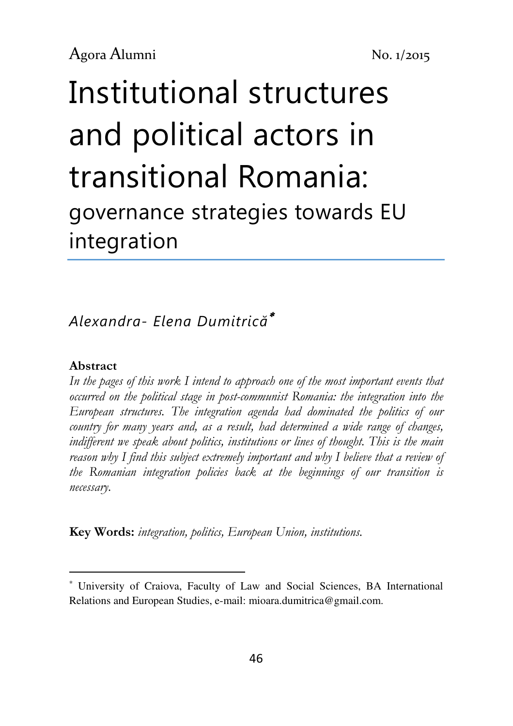# Institutional structures and political actors in transitional Romania: governance strategies towards EU integration

Alexandra- Elena Dumitrică<sup>∗</sup>

#### Abstract

l

In the pages of this work I intend to approach one of the most important events that occurred on the political stage in post-communist Romania: the integration into the European structures. The integration agenda had dominated the politics of our country for many years and, as a result, had determined a wide range of changes, indifferent we speak about politics, institutions or lines of thought. This is the main reason why I find this subject extremely important and why I believe that a review of the Romanian integration policies back at the beginnings of our transition is necessary.

Key Words: integration, politics, European Union, institutions.

<sup>∗</sup> University of Craiova, Faculty of Law and Social Sciences, BA International Relations and European Studies, e-mail: mioara.dumitrica@gmail.com.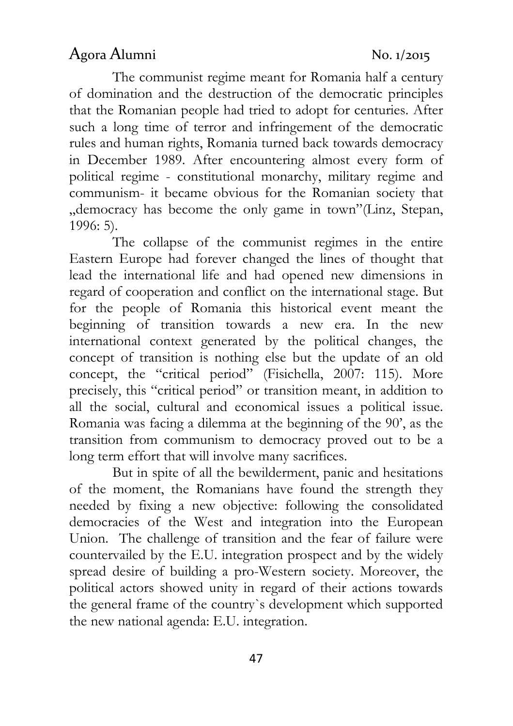The communist regime meant for Romania half a century of domination and the destruction of the democratic principles that the Romanian people had tried to adopt for centuries. After such a long time of terror and infringement of the democratic rules and human rights, Romania turned back towards democracy in December 1989. After encountering almost every form of political regime - constitutional monarchy, military regime and communism- it became obvious for the Romanian society that "democracy has become the only game in town"(Linz, Stepan, 1996: 5).

The collapse of the communist regimes in the entire Eastern Europe had forever changed the lines of thought that lead the international life and had opened new dimensions in regard of cooperation and conflict on the international stage. But for the people of Romania this historical event meant the beginning of transition towards a new era. In the new international context generated by the political changes, the concept of transition is nothing else but the update of an old concept, the "critical period" (Fisichella, 2007: 115). More precisely, this "critical period" or transition meant, in addition to all the social, cultural and economical issues a political issue. Romania was facing a dilemma at the beginning of the 90', as the transition from communism to democracy proved out to be a long term effort that will involve many sacrifices.

But in spite of all the bewilderment, panic and hesitations of the moment, the Romanians have found the strength they needed by fixing a new objective: following the consolidated democracies of the West and integration into the European Union. The challenge of transition and the fear of failure were countervailed by the E.U. integration prospect and by the widely spread desire of building a pro-Western society. Moreover, the political actors showed unity in regard of their actions towards the general frame of the country`s development which supported the new national agenda: E.U. integration.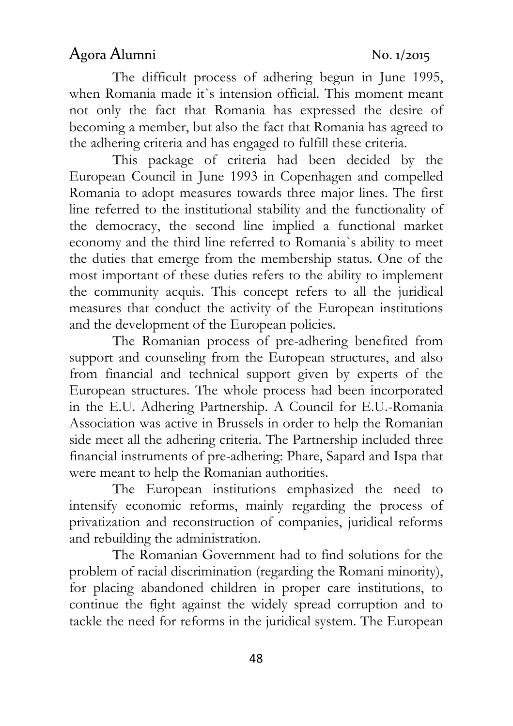The difficult process of adhering begun in June 1995, when Romania made it`s intension official. This moment meant not only the fact that Romania has expressed the desire of becoming a member, but also the fact that Romania has agreed to the adhering criteria and has engaged to fulfill these criteria.

This package of criteria had been decided by the European Council in June 1993 in Copenhagen and compelled Romania to adopt measures towards three major lines. The first line referred to the institutional stability and the functionality of the democracy, the second line implied a functional market economy and the third line referred to Romania`s ability to meet the duties that emerge from the membership status. One of the most important of these duties refers to the ability to implement the community acquis. This concept refers to all the juridical measures that conduct the activity of the European institutions and the development of the European policies.

The Romanian process of pre-adhering benefited from support and counseling from the European structures, and also from financial and technical support given by experts of the European structures. The whole process had been incorporated in the E.U. Adhering Partnership. A Council for E.U.-Romania Association was active in Brussels in order to help the Romanian side meet all the adhering criteria. The Partnership included three financial instruments of pre-adhering: Phare, Sapard and Ispa that were meant to help the Romanian authorities.

The European institutions emphasized the need to intensify economic reforms, mainly regarding the process of privatization and reconstruction of companies, juridical reforms and rebuilding the administration.

The Romanian Government had to find solutions for the problem of racial discrimination (regarding the Romani minority), for placing abandoned children in proper care institutions, to continue the fight against the widely spread corruption and to tackle the need for reforms in the juridical system. The European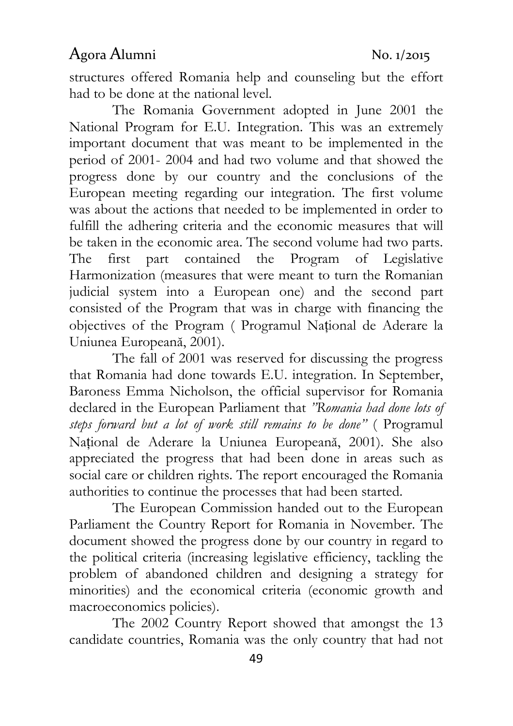structures offered Romania help and counseling but the effort had to be done at the national level.

The Romania Government adopted in June 2001 the National Program for E.U. Integration. This was an extremely important document that was meant to be implemented in the period of 2001- 2004 and had two volume and that showed the progress done by our country and the conclusions of the European meeting regarding our integration. The first volume was about the actions that needed to be implemented in order to fulfill the adhering criteria and the economic measures that will be taken in the economic area. The second volume had two parts. The first part contained the Program of Legislative Harmonization (measures that were meant to turn the Romanian judicial system into a European one) and the second part consisted of the Program that was in charge with financing the objectives of the Program ( Programul Național de Aderare la Uniunea Europeană, 2001).

The fall of 2001 was reserved for discussing the progress that Romania had done towards E.U. integration. In September, Baroness Emma Nicholson, the official supervisor for Romania declared in the European Parliament that "Romania had done lots of steps forward but a lot of work still remains to be done" (Programul Național de Aderare la Uniunea Europeană, 2001). She also appreciated the progress that had been done in areas such as social care or children rights. The report encouraged the Romania authorities to continue the processes that had been started.

The European Commission handed out to the European Parliament the Country Report for Romania in November. The document showed the progress done by our country in regard to the political criteria (increasing legislative efficiency, tackling the problem of abandoned children and designing a strategy for minorities) and the economical criteria (economic growth and macroeconomics policies).

The 2002 Country Report showed that amongst the 13 candidate countries, Romania was the only country that had not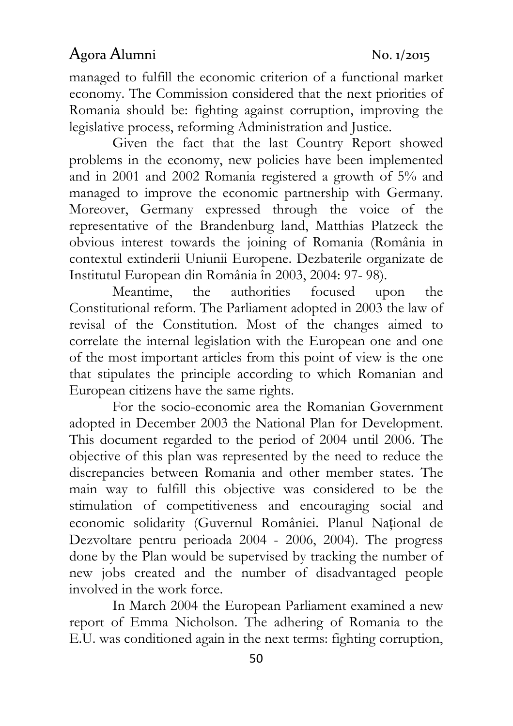managed to fulfill the economic criterion of a functional market economy. The Commission considered that the next priorities of Romania should be: fighting against corruption, improving the legislative process, reforming Administration and Justice.

Given the fact that the last Country Report showed problems in the economy, new policies have been implemented and in 2001 and 2002 Romania registered a growth of 5% and managed to improve the economic partnership with Germany. Moreover, Germany expressed through the voice of the representative of the Brandenburg land, Matthias Platzeck the obvious interest towards the joining of Romania (România in contextul extinderii Uniunii Europene. Dezbaterile organizate de Institutul European din România în 2003, 2004: 97- 98).

Meantime, the authorities focused upon the Constitutional reform. The Parliament adopted in 2003 the law of revisal of the Constitution. Most of the changes aimed to correlate the internal legislation with the European one and one of the most important articles from this point of view is the one that stipulates the principle according to which Romanian and European citizens have the same rights.

For the socio-economic area the Romanian Government adopted in December 2003 the National Plan for Development. This document regarded to the period of 2004 until 2006. The objective of this plan was represented by the need to reduce the discrepancies between Romania and other member states. The main way to fulfill this objective was considered to be the stimulation of competitiveness and encouraging social and economic solidarity (Guvernul României. Planul Național de Dezvoltare pentru perioada 2004 - 2006, 2004). The progress done by the Plan would be supervised by tracking the number of new jobs created and the number of disadvantaged people involved in the work force.

In March 2004 the European Parliament examined a new report of Emma Nicholson. The adhering of Romania to the E.U. was conditioned again in the next terms: fighting corruption,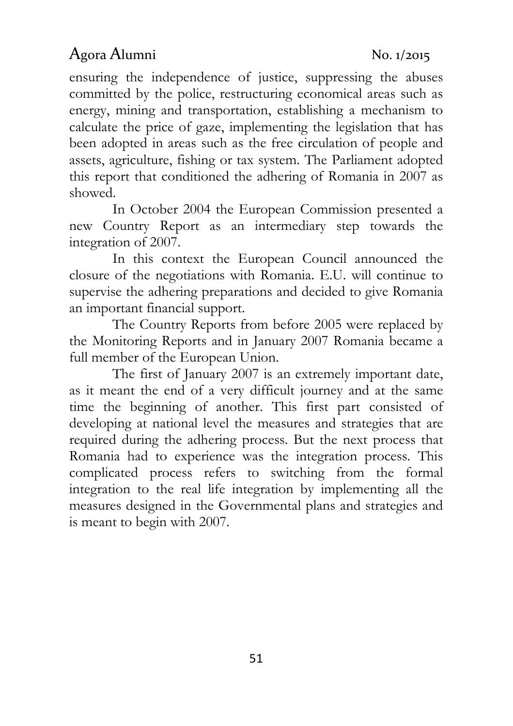ensuring the independence of justice, suppressing the abuses committed by the police, restructuring economical areas such as energy, mining and transportation, establishing a mechanism to calculate the price of gaze, implementing the legislation that has been adopted in areas such as the free circulation of people and assets, agriculture, fishing or tax system. The Parliament adopted this report that conditioned the adhering of Romania in 2007 as showed.

In October 2004 the European Commission presented a new Country Report as an intermediary step towards the integration of 2007.

In this context the European Council announced the closure of the negotiations with Romania. E.U. will continue to supervise the adhering preparations and decided to give Romania an important financial support.

The Country Reports from before 2005 were replaced by the Monitoring Reports and in January 2007 Romania became a full member of the European Union.

The first of January 2007 is an extremely important date, as it meant the end of a very difficult journey and at the same time the beginning of another. This first part consisted of developing at national level the measures and strategies that are required during the adhering process. But the next process that Romania had to experience was the integration process. This complicated process refers to switching from the formal integration to the real life integration by implementing all the measures designed in the Governmental plans and strategies and is meant to begin with 2007.